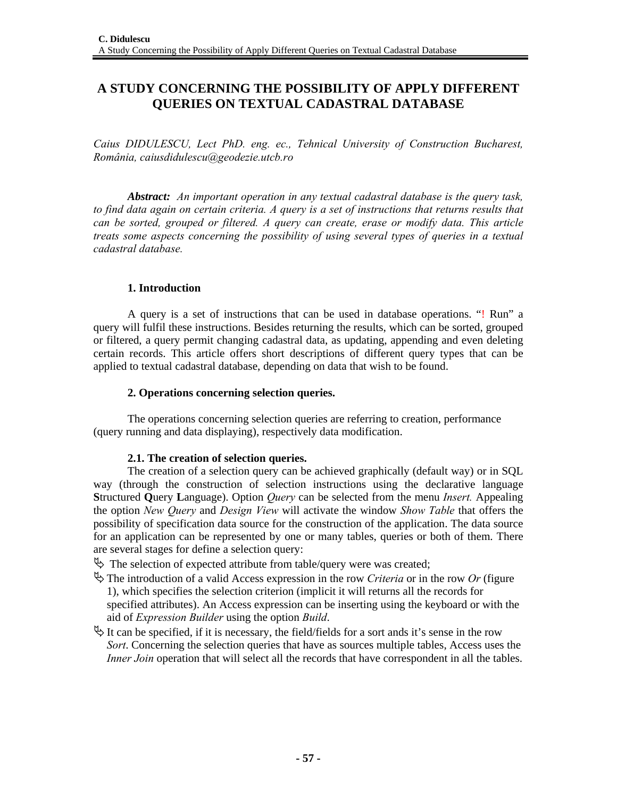# **A STUDY CONCERNING THE POSSIBILITY OF APPLY DIFFERENT QUERIES ON TEXTUAL CADASTRAL DATABASE**

*Caius DIDULESCU, Lect PhD. eng. ec., Tehnical University of Construction Bucharest, România, caiusdidulescu@geodezie.utcb.ro* 

*Abstract: An important operation in any textual cadastral database is the query task, to find data again on certain criteria. A query is a set of instructions that returns results that can be sorted, grouped or filtered. A query can create, erase or modify data. This article treats some aspects concerning the possibility of using several types of queries in a textual cadastral database.* 

## **1. Introduction**

A query is a set of instructions that can be used in database operations. "! Run" a query will fulfil these instructions. Besides returning the results, which can be sorted, grouped or filtered, a query permit changing cadastral data, as updating, appending and even deleting certain records. This article offers short descriptions of different query types that can be applied to textual cadastral database, depending on data that wish to be found.

### **2. Operations concerning selection queries.**

The operations concerning selection queries are referring to creation, performance (query running and data displaying), respectively data modification.

### **2.1. The creation of selection queries.**

The creation of a selection query can be achieved graphically (default way) or in SQL way (through the construction of selection instructions using the declarative language **S**tructured **Q**uery **L**anguage). Option *Query* can be selected from the menu *Insert.* Appealing the option *New Query* and *Design View* will activate the window *Show Table* that offers the possibility of specification data source for the construction of the application. The data source for an application can be represented by one or many tables, queries or both of them. There are several stages for define a selection query:

 $\psi$  The selection of expected attribute from table/query were was created;

- $\overset{\text{def}}{\rightarrow}$  The introduction of a valid Access expression in the row *Criteria* or in the row *Or* (figure 1), which specifies the selection criterion (implicit it will returns all the records for specified attributes). An Access expression can be inserting using the keyboard or with the aid of *Expression Builder* using the option *Build*.
- $\uparrow$  It can be specified, if it is necessary, the field/fields for a sort ands it's sense in the row *Sort*. Concerning the selection queries that have as sources multiple tables, Access uses the *Inner Join* operation that will select all the records that have correspondent in all the tables.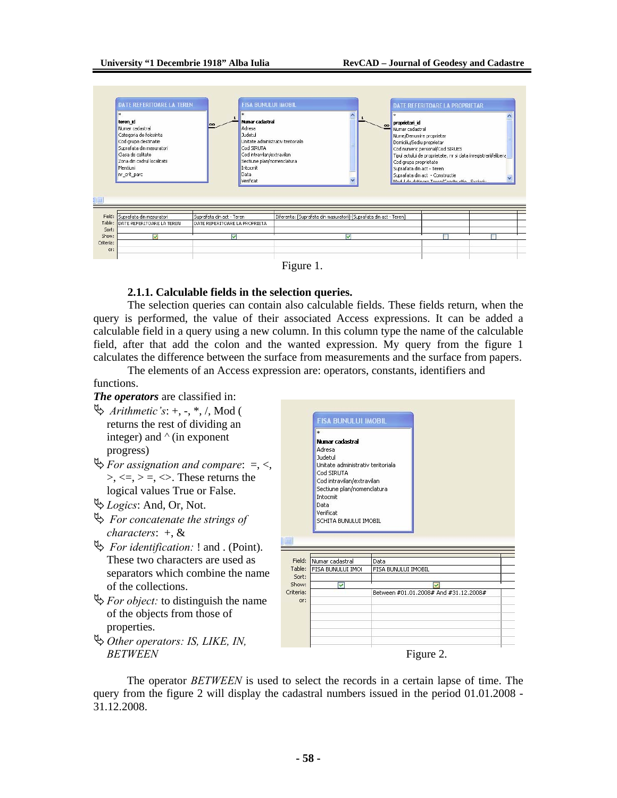



#### **2.1.1. Calculable fields in the selection queries.**

The selection queries can contain also calculable fields. These fields return, when the query is performed, the value of their associated Access expressions. It can be added a calculable field in a query using a new column. In this column type the name of the calculable field, after that add the colon and the wanted expression. My query from the figure 1 calculates the difference between the surface from measurements and the surface from papers.

The elements of an Access expression are: operators, constants, identifiers and functions.

# *The operators* are classified in:

- $\updownarrow$  *Arithmetic's*: +, -, \*, /, Mod ( returns the rest of dividing an integer) and *^* (in exponent progress)
- $\mathcal{L}$ *For assignation and compare:*  $=$ *, <,*  $\geq, \leq, \geq, \leq$ . These returns the logical values True or False.
- ª*Logics*: And, Or, Not.
- $\rightarrow$  *For concatenate the strings of characters*: +, &
- ª *For identification:* ! and . (Point). These two characters are used as separators which combine the name of the collections.
- $\mathcal{F}$ *For object:* to distinguish the name of the objects from those of properties.

ª*Other operators: IS, LIKE, IN,* 



 The operator *BETWEEN* is used to select the records in a certain lapse of time. The query from the figure 2 will display the cadastral numbers issued in the period 01.01.2008 - 31.12.2008.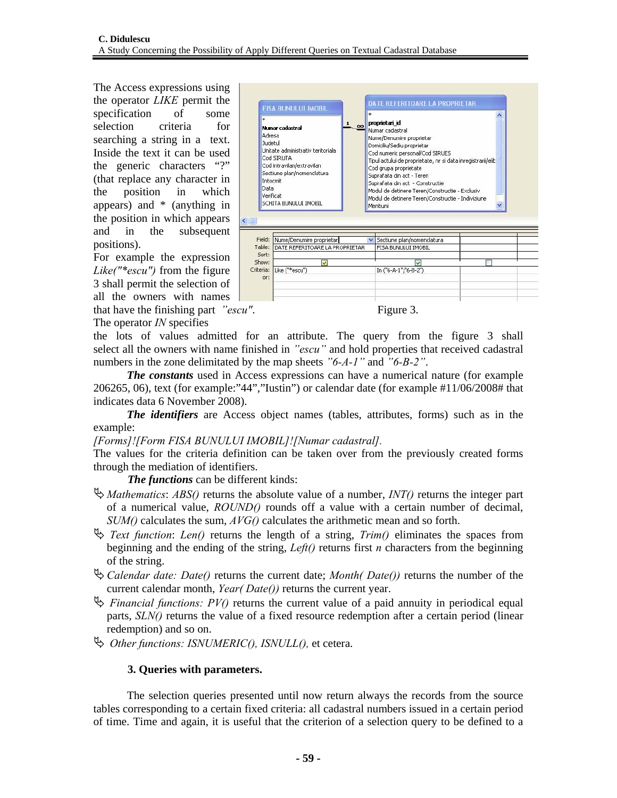The Access expressions using the operator *LIKE* permit the specification of some selection criteria for searching a string in a text. Inside the text it can be used the generic characters "?" (that replace any character in the position in which appears) and \* (anything in the position in which appears and in the subsequent positions).

For example the expression *Like("\*escu")* from the figure 3 shall permit the selection of all the owners with names that have the finishing part *"escu"*. Figure 3.

The operator *IN* specifies



the lots of values admitted for an attribute. The query from the figure 3 shall select all the owners with name finished in *"escu"* and hold properties that received cadastral numbers in the zone delimitated by the map sheets *"6-A-1"* and *"6-B-2"*.

 *The constants* used in Access expressions can have a numerical nature (for example 206265, 06), text (for example:"44","Iustin") or calendar date (for example #11/06/2008# that indicates data 6 November 2008).

 *The identifiers* are Access object names (tables, attributes, forms) such as in the example:

*[Forms]![Form FISA BUNULUI IMOBIL]![Numar cadastral].*

The values for the criteria definition can be taken over from the previously created forms through the mediation of identifiers.

*The functions* can be different kinds:

- ª*Mathematics*: *ABS()* returns the absolute value of a number, *INT()* returns the integer part of a numerical value, *ROUND()* rounds off a value with a certain number of decimal, *SUM()* calculates the sum, *AVG()* calculates the arithmetic mean and so forth.
- $\rightarrow$  *Text function: Len()* returns the length of a string, *Trim()* eliminates the spaces from beginning and the ending of the string, *Left()* returns first *n* characters from the beginning of the string.
- ª*Calendar date: Date()* returns the current date; *Month( Date())* returns the number of the current calendar month, *Year( Date())* returns the current year.
- $\Rightarrow$  *Financial functions: PV()* returns the current value of a paid annuity in periodical equal parts, *SLN()* returns the value of a fixed resource redemption after a certain period (linear redemption) and so on.
- $\rightarrow$  *Other functions: ISNUMERIC(), ISNULL(), et cetera.*

# **3. Queries with parameters.**

 The selection queries presented until now return always the records from the source tables corresponding to a certain fixed criteria: all cadastral numbers issued in a certain period of time. Time and again, it is useful that the criterion of a selection query to be defined to a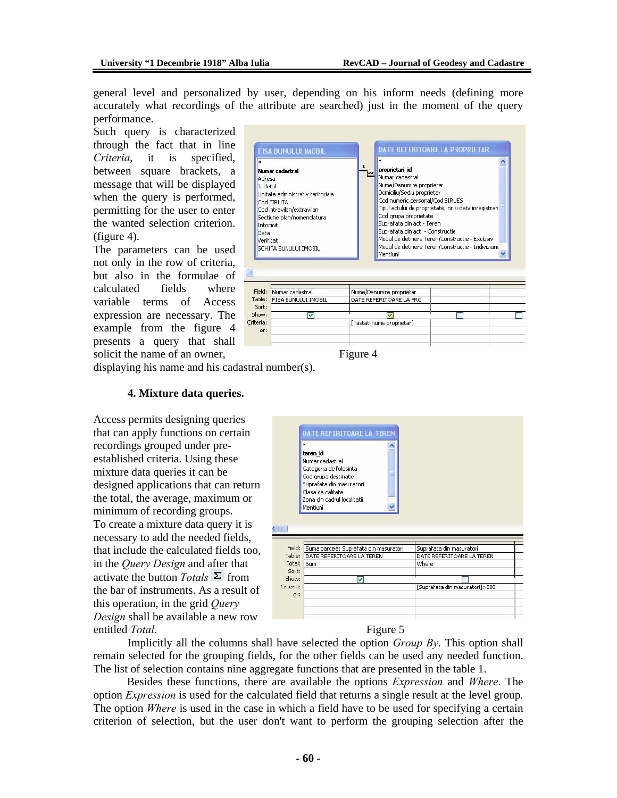general level and personalized by user, depending on his inform needs (defining more accurately what recordings of the attribute are searched) just in the moment of the query performance.

Such query is characterized through the fact that in line *Criteria*, it is specified, between square brackets, a message that will be displayed when the query is performed, permitting for the user to enter the wanted selection criterion. (figure 4).

The parameters can be used not only in the row of criteria, but also in the formulae of calculated fields where variable terms of Access expression are necessary. The example from the figure 4 presents a query that shall solicit the name of an owner, Figure 4



|           | Field: Numar cadastral     | Nume/Denumire proprietar  |  |
|-----------|----------------------------|---------------------------|--|
|           | Table: FISA BUNULUI IMOBIL | DATE REFERITOARE LA PRC   |  |
| Sort:     |                            |                           |  |
| Show:     |                            |                           |  |
| Criteria: |                            | [Tastati nume proprietar] |  |
| or:       |                            |                           |  |
|           |                            |                           |  |
|           |                            |                           |  |

displaying his name and his cadastral number(s).

#### **4. Mixture data queries.**

Access permits designing queries that can apply functions on certain recordings grouped under preestablished criteria. Using these mixture data queries it can be designed applications that can return the total, the average, maximum or minimum of recording groups. To create a mixture data query it is necessary to add the needed fields, that include the calculated fields too, in the *Query Design* and after that activate the button *Totals*  $\Sigma$  from the bar of instruments. As a result of this operation, in the grid *Query Design* shall be available a new row entitled *Total*.

|                | *<br>teren id<br>Numar cadastral<br>Categoria de folosinta<br>Cod grupa destinatie<br>Suprafata din masuratori<br>Clasa de calitate<br>Zona din cadrul localitatii<br>Mentiuni |                                |
|----------------|--------------------------------------------------------------------------------------------------------------------------------------------------------------------------------|--------------------------------|
| Field:         | Suma parcele: Suprafata din masuratori                                                                                                                                         | Suprafata din masuratori       |
| Table:         | DATE REFERITOARE LA TEREN                                                                                                                                                      | DATE REFERITOARE LA TEREN      |
| Total:         | <b>Sum</b>                                                                                                                                                                     | Where                          |
|                |                                                                                                                                                                                |                                |
|                |                                                                                                                                                                                |                                |
| Sort:<br>Show: | ⊽                                                                                                                                                                              |                                |
| Criteria:      |                                                                                                                                                                                | [Suprafata din masuratori]>200 |
| or:            |                                                                                                                                                                                |                                |

Implicitly all the columns shall have selected the option *Group By*. This option shall remain selected for the grouping fields, for the other fields can be used any needed function. The list of selection contains nine aggregate functions that are presented in the table 1.

 Besides these functions, there are available the options *Expression* and *Where*. The option *Expression* is used for the calculated field that returns a single result at the level group. The option *Where* is used in the case in which a field have to be used for specifying a certain criterion of selection, but the user don't want to perform the grouping selection after the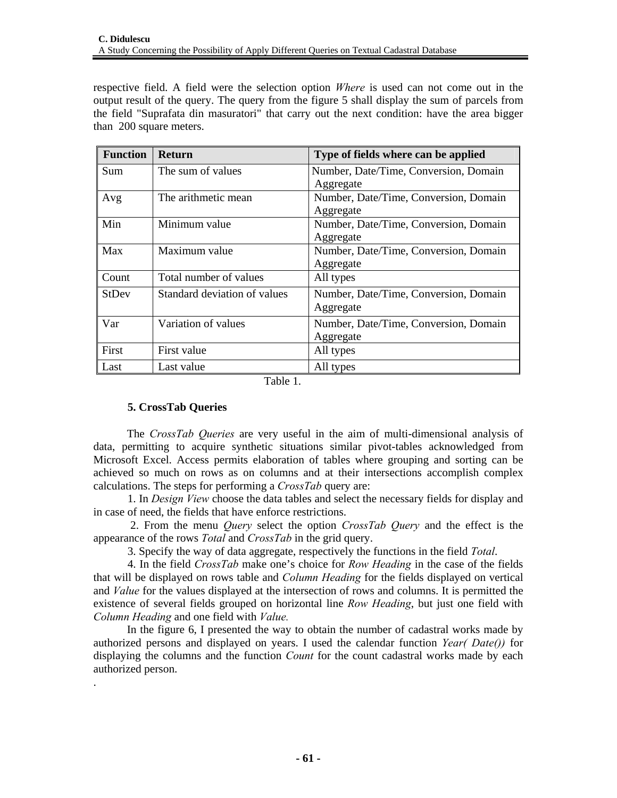respective field. A field were the selection option *Where* is used can not come out in the output result of the query. The query from the figure 5 shall display the sum of parcels from the field "Suprafata din masuratori" that carry out the next condition: have the area bigger than 200 square meters.

| <b>Function</b> | <b>Return</b>                | Type of fields where can be applied   |
|-----------------|------------------------------|---------------------------------------|
| Sum             | The sum of values            | Number, Date/Time, Conversion, Domain |
|                 |                              | Aggregate                             |
| Avg             | The arithmetic mean          | Number, Date/Time, Conversion, Domain |
|                 |                              | Aggregate                             |
| Min             | Minimum value                | Number, Date/Time, Conversion, Domain |
|                 |                              | Aggregate                             |
| Max             | Maximum value                | Number, Date/Time, Conversion, Domain |
|                 |                              | Aggregate                             |
| Count           | Total number of values       | All types                             |
| <b>StDev</b>    | Standard deviation of values | Number, Date/Time, Conversion, Domain |
|                 |                              | Aggregate                             |
| Var             | Variation of values          | Number, Date/Time, Conversion, Domain |
|                 |                              | Aggregate                             |
| First           | First value                  | All types                             |
| Last            | Last value                   | All types                             |

Table 1.

# **5. CrossTab Queries**

.

 The *CrossTab Queries* are very useful in the aim of multi-dimensional analysis of data, permitting to acquire synthetic situations similar pivot-tables acknowledged from Microsoft Excel. Access permits elaboration of tables where grouping and sorting can be achieved so much on rows as on columns and at their intersections accomplish complex calculations. The steps for performing a *CrossTab* query are:

1. In *Design View* choose the data tables and select the necessary fields for display and in case of need, the fields that have enforce restrictions.

 2. From the menu *Query* select the option *CrossTab Query* and the effect is the appearance of the rows *Total* and *CrossTab* in the grid query.

3. Specify the way of data aggregate, respectively the functions in the field *Total*.

4. In the field *CrossTab* make one's choice for *Row Heading* in the case of the fields that will be displayed on rows table and *Column Heading* for the fields displayed on vertical and *Value* for the values displayed at the intersection of rows and columns. It is permitted the existence of several fields grouped on horizontal line *Row Heading*, but just one field with *Column Heading* and one field with *Value.* 

 In the figure 6, I presented the way to obtain the number of cadastral works made by authorized persons and displayed on years. I used the calendar function *Year( Date())* for displaying the columns and the function *Count* for the count cadastral works made by each authorized person.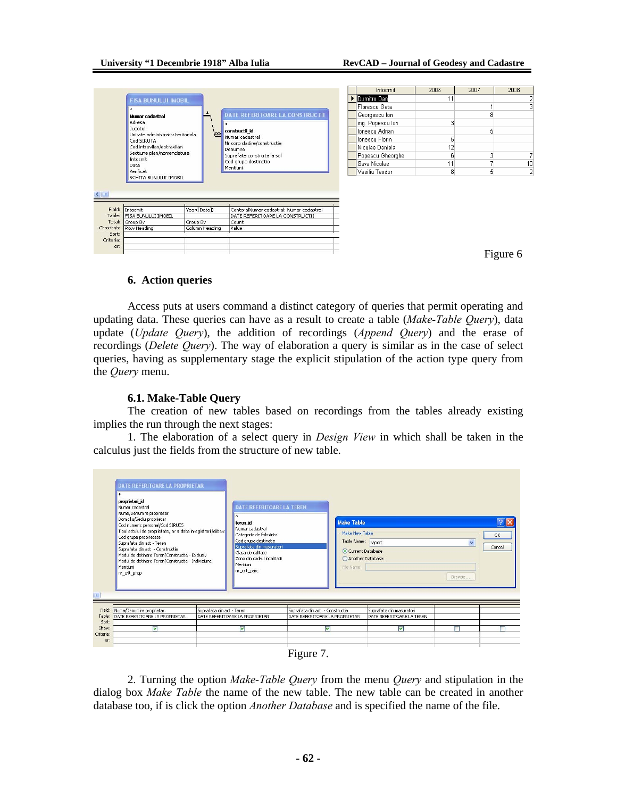|              |                                                 |                         |                                          | Intocmit         | 2006 | 2007 | 2008     |
|--------------|-------------------------------------------------|-------------------------|------------------------------------------|------------------|------|------|----------|
|              | <b>FISA BUNULUI IMOBIL</b>                      |                         |                                          | Dumitru Dan      | 11   |      |          |
|              | sk.                                             |                         |                                          | Florescu Geta    |      |      | Э        |
|              | Numar cadastral                                 | ٠                       | <b>DATE REFERITOARE LA CONSTRUCTII</b>   | Georgescu Ion    |      | 8    |          |
|              | Adresa                                          |                         | <b>x</b>                                 | ing. Popescu lon |      |      |          |
|              | Judetul                                         |                         | constructii id                           | Ionescu Adrian   |      | 5    |          |
|              | Unitate administrativ teritoriala<br>Cod SIRUTA | $\overline{\mathbf{R}}$ | Numar cadastral                          | Ionescu Florin   | 5    |      |          |
|              | Cod intravilan/extravilan                       |                         | Nr corp cladire/constructie              | Niculae Daniela  | 12   |      |          |
|              | Sectiune plan/nomenclatura                      |                         | Denumire<br>Suprafata construita la sol  | Popescu Gheorghe | ĥ    |      | 7        |
|              | Intocnit                                        |                         | Cod grupa destinatie                     | Sava Nicolae     | 11   |      | 10       |
|              | Data<br>Verificat                               |                         | Mentiuni                                 | Vasiliu Teodor   | 8    | 5    | 2        |
| $\leftarrow$ | SCHITA BUNULUI IMOBIL                           |                         |                                          |                  |      |      |          |
|              |                                                 |                         |                                          |                  |      |      |          |
| Field:       | Intocmit                                        | Year([Data])            | ContoralNumar cadastral: Numar cadastral |                  |      |      |          |
| Table:       | <b>FISA BUNULUI IMOBIL</b>                      |                         | DATE REFERITOARE LA CONSTRUCTII          |                  |      |      |          |
| Total:       | Group By                                        | Group By                | Count                                    |                  |      |      |          |
| Crosstab:    | Row Heading                                     | Column Heading          | Value                                    |                  |      |      |          |
| Sort:        |                                                 |                         |                                          |                  |      |      |          |
| Criteria:    |                                                 |                         |                                          |                  |      |      |          |
|              |                                                 |                         |                                          |                  |      |      |          |
| or:          |                                                 |                         |                                          |                  |      |      | Figure 6 |

### **6. Action queries**

Access puts at users command a distinct category of queries that permit operating and updating data. These queries can have as a result to create a table (*Make-Table Query*), data update (*Update Query*), the addition of recordings (*Append Query*) and the erase of recordings (*Delete Query*). The way of elaboration a query is similar as in the case of select queries, having as supplementary stage the explicit stipulation of the action type query from the *Query* menu.

#### **6.1. Make-Table Query**

The creation of new tables based on recordings from the tables already existing implies the run through the next stages:

1. The elaboration of a select query in *Design View* in which shall be taken in the calculus just the fields from the structure of new table.

| Suprafata din act - Constructie<br>Mentiuni<br>nr_crit_prop                    | Suprafata din act - Teren<br>Modul de detinere Teren/Constructie - Exclusiv<br>Modul de detinere Teren/Constructie - Indiviziune |                           | Suprafata din masuratori<br>Clasa de calitate<br>Zona din cadrul localitatii<br>Menhuni<br>nr crit parc |                                                                   | Table Name:<br>Current Database<br>Another Database:<br>File Name: | raport                                                | $\checkmark$<br>Browse | Cancel |
|--------------------------------------------------------------------------------|----------------------------------------------------------------------------------------------------------------------------------|---------------------------|---------------------------------------------------------------------------------------------------------|-------------------------------------------------------------------|--------------------------------------------------------------------|-------------------------------------------------------|------------------------|--------|
| Field:<br>Nume/Denumire proprietar<br>Table:<br>DATE REFERITOARE LA PROPRIETAR |                                                                                                                                  | Suprafata din act - Teren | DATE REFERITOARE LA PROPRIETAR                                                                          | Suprafata din act - Constructie<br>DATE REFERITOARE LA PROPRIETAR |                                                                    | Suprafata din masuratori<br>DATE REFERITOARE LA TEREN |                        |        |
| Sort:<br>Show:                                                                 | M                                                                                                                                |                           | $\blacktriangledown$                                                                                    |                                                                   | ⊽                                                                  | M                                                     |                        |        |



2. Turning the option *Make-Table Query* from the menu *Query* and stipulation in the dialog box *Make Table* the name of the new table. The new table can be created in another database too, if is click the option *Another Database* and is specified the name of the file.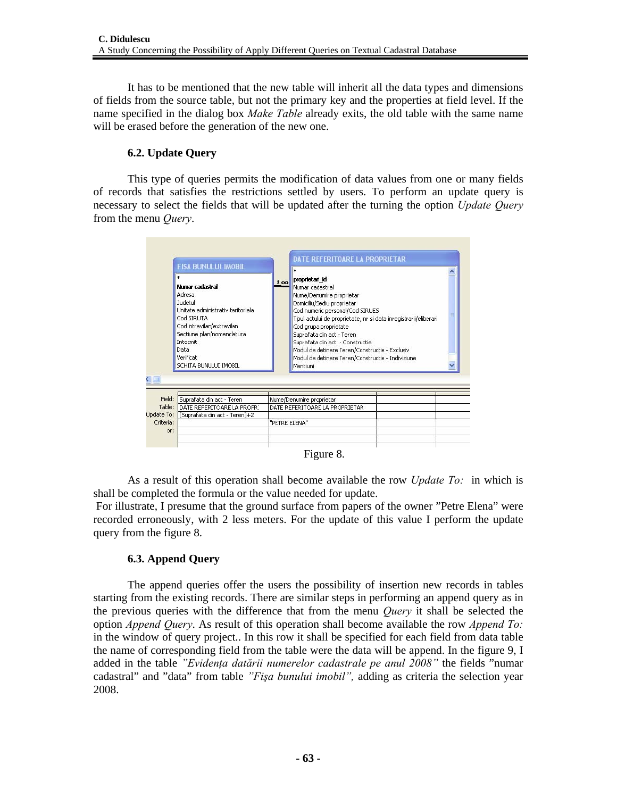It has to be mentioned that the new table will inherit all the data types and dimensions of fields from the source table, but not the primary key and the properties at field level. If the name specified in the dialog box *Make Table* already exits, the old table with the same name will be erased before the generation of the new one.

## **6.2. Update Query**

This type of queries permits the modification of data values from one or many fields of records that satisfies the restrictions settled by users. To perform an update query is necessary to select the fields that will be updated after the turning the option *Update Query* from the menu *Query*.

| Cod SIRUTA<br>Cod intravilan/extravilan<br>Sectiune plan/nomenclatura<br>Intocmit<br>Data<br>Verificat<br>SCHITA BUNULUI IMOBIL |                                                                                          | Tipul actului de proprietate, nr si data inregistrarii/eliberari |                                                                                                                                                                                                                                                                                         |
|---------------------------------------------------------------------------------------------------------------------------------|------------------------------------------------------------------------------------------|------------------------------------------------------------------|-----------------------------------------------------------------------------------------------------------------------------------------------------------------------------------------------------------------------------------------------------------------------------------------|
|                                                                                                                                 |                                                                                          |                                                                  |                                                                                                                                                                                                                                                                                         |
|                                                                                                                                 |                                                                                          |                                                                  |                                                                                                                                                                                                                                                                                         |
|                                                                                                                                 |                                                                                          |                                                                  |                                                                                                                                                                                                                                                                                         |
|                                                                                                                                 |                                                                                          |                                                                  |                                                                                                                                                                                                                                                                                         |
|                                                                                                                                 | Suprafata din act - Teren<br>DATE REFERITOARE LA PROPRI<br>[Suprafata din act - Teren]+2 |                                                                  | Cod grupa proprietate<br>Suprafata din act - Teren<br>Suprafata din act - Constructie<br>Modul de detinere Teren/Constructie - Exclusiv<br>Modul de detinere Teren/Constructie - Indiviziune<br>Mentiuni<br>Nume/Denumire proprietar<br>DATE REFERITOARE LA PROPRIETAR<br>"PETRE ELENA" |

Figure 8.

As a result of this operation shall become available the row *Update To:* in which is shall be completed the formula or the value needed for update.

 For illustrate, I presume that the ground surface from papers of the owner "Petre Elena" were recorded erroneously, with 2 less meters. For the update of this value I perform the update query from the figure 8.

# **6.3. Append Query**

The append queries offer the users the possibility of insertion new records in tables starting from the existing records. There are similar steps in performing an append query as in the previous queries with the difference that from the menu *Query* it shall be selected the option *Append Query*. As result of this operation shall become available the row *Append To:* in the window of query project.. In this row it shall be specified for each field from data table the name of corresponding field from the table were the data will be append. In the figure 9, I added in the table *"Evidenţa datării numerelor cadastrale pe anul 2008"* the fields "numar cadastral" and "data" from table *"Fişa bunului imobil",* adding as criteria the selection year 2008.